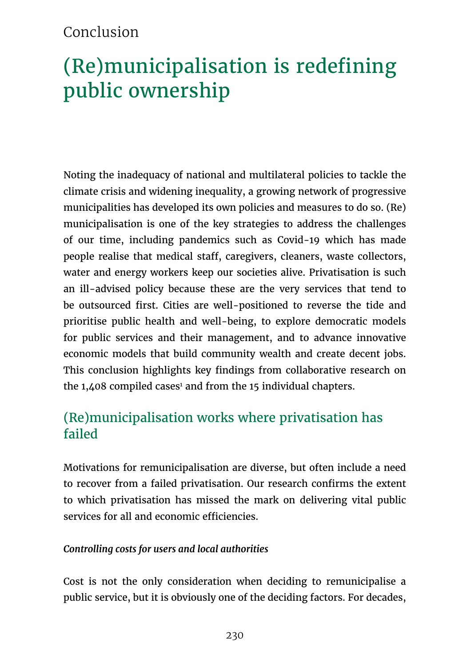# Conclusion

# (Re)municipalisation is redefining public ownership

Noting the inadequacy of national and multilateral policies to tackle the climate crisis and widening inequality, a growing network of progressive municipalities has developed its own policies and measures to do so. (Re) municipalisation is one of the key strategies to address the challenges of our time, including pandemics such as Covid-19 which has made people realise that medical staff, caregivers, cleaners, waste collectors, water and energy workers keep our societies alive. Privatisation is such an ill-advised policy because these are the very services that tend to be outsourced first. Cities are well-positioned to reverse the tide and prioritise public health and well-being, to explore democratic models for public services and their management, and to advance innovative economic models that build community wealth and create decent jobs. This conclusion highlights key findings from collaborative research on the 1,408 compiled cases<sup>1</sup> and from the 15 individual chapters.

# (Re)municipalisation works where privatisation has failed

Motivations for remunicipalisation are diverse, but often include a need to recover from a failed privatisation. Our research confirms the extent to which privatisation has missed the mark on delivering vital public services for all and economic efficiencies.

#### *Controlling costs for users and local authorities*

Cost is not the only consideration when deciding to remunicipalise a public service, but it is obviously one of the deciding factors. For decades,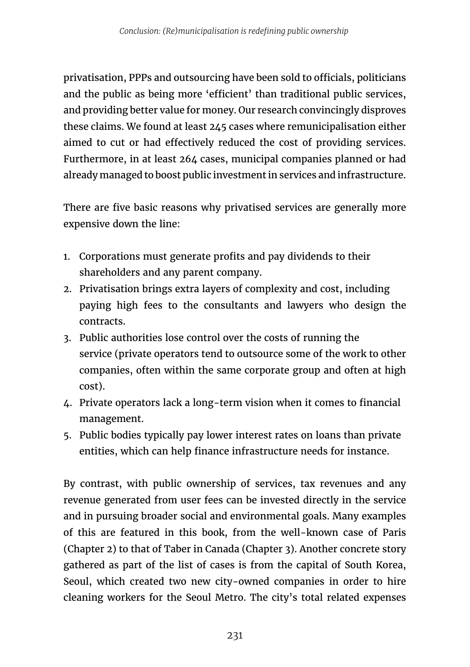privatisation, PPPs and outsourcing have been sold to officials, politicians and the public as being more 'efficient' than traditional public services, and providing better value for money. Our research convincingly disproves these claims. We found at least 245 cases where remunicipalisation either aimed to cut or had effectively reduced the cost of providing services. Furthermore, in at least 264 cases, municipal companies planned or had already managed to boost public investment in services and infrastructure.

There are five basic reasons why privatised services are generally more expensive down the line:

- 1. Corporations must generate profits and pay dividends to their shareholders and any parent company.
- 2. Privatisation brings extra layers of complexity and cost, including paying high fees to the consultants and lawyers who design the contracts.
- 3. Public authorities lose control over the costs of running the service (private operators tend to outsource some of the work to other companies, often within the same corporate group and often at high cost).
- 4. Private operators lack a long-term vision when it comes to financial management.
- 5. Public bodies typically pay lower interest rates on loans than private entities, which can help finance infrastructure needs for instance.

By contrast, with public ownership of services, tax revenues and any revenue generated from user fees can be invested directly in the service and in pursuing broader social and environmental goals. Many examples of this are featured in this book, from the well-known case of Paris (Chapter 2) to that of Taber in Canada (Chapter 3). Another concrete story gathered as part of the list of cases is from the capital of South Korea, Seoul, which created two new city-owned companies in order to hire cleaning workers for the Seoul Metro. The city's total related expenses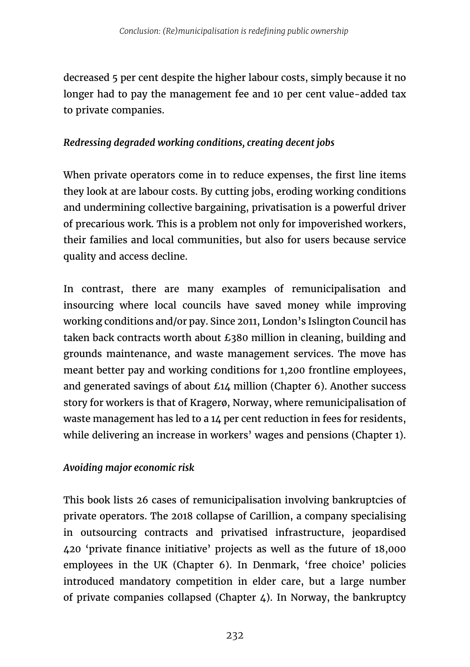decreased 5 per cent despite the higher labour costs, simply because it no longer had to pay the management fee and 10 per cent value-added tax to private companies.

### *Redressing degraded working conditions, creating decent jobs*

When private operators come in to reduce expenses, the first line items they look at are labour costs. By cutting jobs, eroding working conditions and undermining collective bargaining, privatisation is a powerful driver of precarious work. This is a problem not only for impoverished workers, their families and local communities, but also for users because service quality and access decline.

In contrast, there are many examples of remunicipalisation and insourcing where local councils have saved money while improving working conditions and/or pay. Since 2011, London's Islington Council has taken back contracts worth about £380 million in cleaning, building and grounds maintenance, and waste management services. The move has meant better pay and working conditions for 1,200 frontline employees, and generated savings of about £14 million (Chapter 6). Another success story for workers is that of Kragerø, Norway, where remunicipalisation of waste management has led to a 14 per cent reduction in fees for residents, while delivering an increase in workers' wages and pensions (Chapter 1).

## *Avoiding major economic risk*

This book lists 26 cases of remunicipalisation involving bankruptcies of private operators. The 2018 collapse of Carillion, a company specialising in outsourcing contracts and privatised infrastructure, jeopardised 420 'private finance initiative' projects as well as the future of 18,000 employees in the UK (Chapter 6). In Denmark, 'free choice' policies introduced mandatory competition in elder care, but a large number of private companies collapsed (Chapter  $\ddot{4}$ ). In Norway, the bankruptcy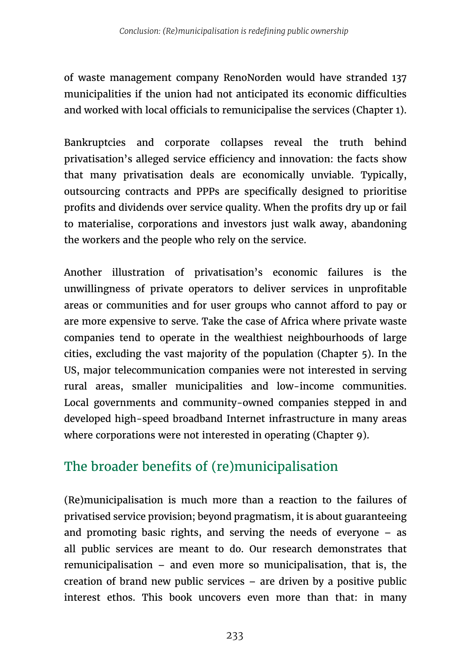of waste management company RenoNorden would have stranded 137 municipalities if the union had not anticipated its economic difficulties and worked with local officials to remunicipalise the services (Chapter 1).

Bankruptcies and corporate collapses reveal the truth behind privatisation's alleged service efficiency and innovation: the facts show that many privatisation deals are economically unviable. Typically, outsourcing contracts and PPPs are specifically designed to prioritise profits and dividends over service quality. When the profits dry up or fail to materialise, corporations and investors just walk away, abandoning the workers and the people who rely on the service.

Another illustration of privatisation's economic failures is the unwillingness of private operators to deliver services in unprofitable areas or communities and for user groups who cannot afford to pay or are more expensive to serve. Take the case of Africa where private waste companies tend to operate in the wealthiest neighbourhoods of large cities, excluding the vast majority of the population (Chapter 5). In the US, major telecommunication companies were not interested in serving rural areas, smaller municipalities and low-income communities. Local governments and community-owned companies stepped in and developed high-speed broadband Internet infrastructure in many areas where corporations were not interested in operating (Chapter 9).

# The broader benefits of (re)municipalisation

(Re)municipalisation is much more than a reaction to the failures of privatised service provision; beyond pragmatism, it is about guaranteeing and promoting basic rights, and serving the needs of everyone – as all public services are meant to do. Our research demonstrates that remunicipalisation – and even more so municipalisation, that is, the creation of brand new public services – are driven by a positive public interest ethos. This book uncovers even more than that: in many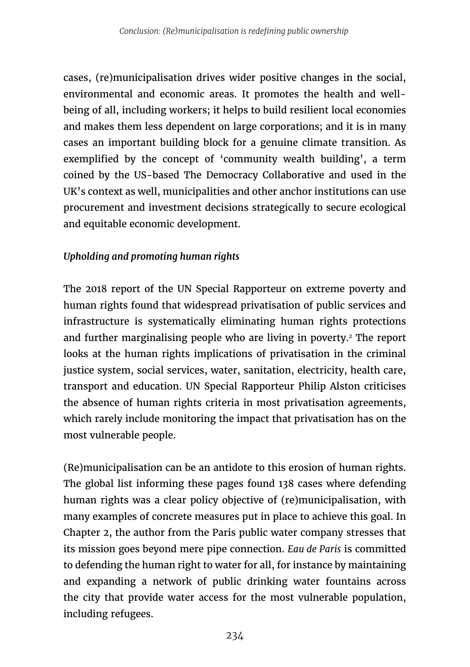cases, (re)municipalisation drives wider positive changes in the social, environmental and economic areas. It promotes the health and wellbeing of all, including workers; it helps to build resilient local economies and makes them less dependent on large corporations; and it is in many cases an important building block for a genuine climate transition. As exemplified by the concept of 'community wealth building', a term coined by the US-based The Democracy Collaborative and used in the UK's context as well, municipalities and other anchor institutions can use procurement and investment decisions strategically to secure ecological and equitable economic development.

## *Upholding and promoting human rights*

The 2018 report of the UN Special Rapporteur on extreme poverty and human rights found that widespread privatisation of public services and infrastructure is systematically eliminating human rights protections and further marginalising people who are living in poverty.2 The report looks at the human rights implications of privatisation in the criminal justice system, social services, water, sanitation, electricity, health care, transport and education. UN Special Rapporteur Philip Alston criticises the absence of human rights criteria in most privatisation agreements, which rarely include monitoring the impact that privatisation has on the most vulnerable people.

(Re)municipalisation can be an antidote to this erosion of human rights. The global list informing these pages found 138 cases where defending human rights was a clear policy objective of (re)municipalisation, with many examples of concrete measures put in place to achieve this goal. In Chapter 2, the author from the Paris public water company stresses that its mission goes beyond mere pipe connection. *Eau de Paris* is committed to defending the human right to water for all, for instance by maintaining and expanding a network of public drinking water fountains across the city that provide water access for the most vulnerable population, including refugees.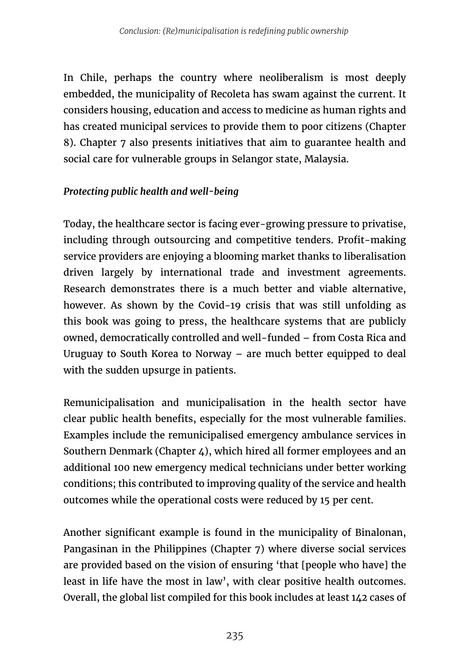In Chile, perhaps the country where neoliberalism is most deeply embedded, the municipality of Recoleta has swam against the current. It considers housing, education and access to medicine as human rights and has created municipal services to provide them to poor citizens (Chapter 8). Chapter 7 also presents initiatives that aim to guarantee health and social care for vulnerable groups in Selangor state, Malaysia.

#### *Protecting public health and well-being*

Today, the healthcare sector is facing ever-growing pressure to privatise, including through outsourcing and competitive tenders. Profit-making service providers are enjoying a blooming market thanks to liberalisation driven largely by international trade and investment agreements. Research demonstrates there is a much better and viable alternative, however. As shown by the Covid-19 crisis that was still unfolding as this book was going to press, the healthcare systems that are publicly owned, democratically controlled and well-funded – from Costa Rica and Uruguay to South Korea to Norway – are much better equipped to deal with the sudden upsurge in patients.

Remunicipalisation and municipalisation in the health sector have clear public health benefits, especially for the most vulnerable families. Examples include the remunicipalised emergency ambulance services in Southern Denmark (Chapter 4), which hired all former employees and an additional 100 new emergency medical technicians under better working conditions; this contributed to improving quality of the service and health outcomes while the operational costs were reduced by 15 per cent.

Another significant example is found in the municipality of Binalonan, Pangasinan in the Philippines (Chapter 7) where diverse social services are provided based on the vision of ensuring 'that [people who have] the least in life have the most in law', with clear positive health outcomes. Overall, the global list compiled for this book includes at least 142 cases of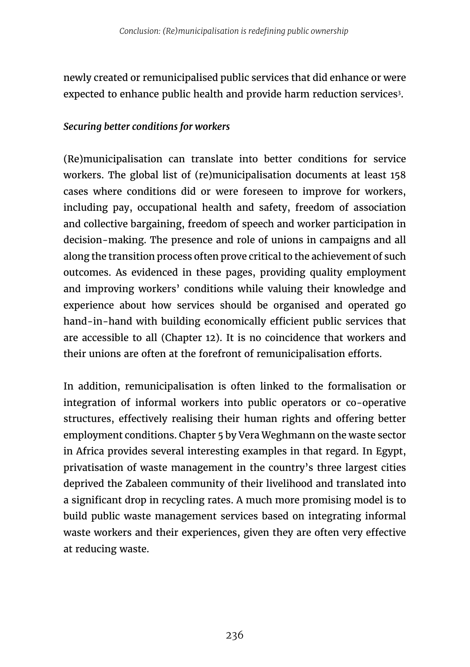newly created or remunicipalised public services that did enhance or were expected to enhance public health and provide harm reduction services<sup>3</sup>.

#### *Securing better conditions for workers*

(Re)municipalisation can translate into better conditions for service workers. The global list of (re)municipalisation documents at least 158 cases where conditions did or were foreseen to improve for workers, including pay, occupational health and safety, freedom of association and collective bargaining, freedom of speech and worker participation in decision-making. The presence and role of unions in campaigns and all along the transition process often prove critical to the achievement of such outcomes. As evidenced in these pages, providing quality employment and improving workers' conditions while valuing their knowledge and experience about how services should be organised and operated go hand-in-hand with building economically efficient public services that are accessible to all (Chapter 12). It is no coincidence that workers and their unions are often at the forefront of remunicipalisation efforts.

In addition, remunicipalisation is often linked to the formalisation or integration of informal workers into public operators or co-operative structures, effectively realising their human rights and offering better employment conditions. Chapter 5 by Vera Weghmann on the waste sector in Africa provides several interesting examples in that regard. In Egypt, privatisation of waste management in the country's three largest cities deprived the Zabaleen community of their livelihood and translated into a significant drop in recycling rates. A much more promising model is to build public waste management services based on integrating informal waste workers and their experiences, given they are often very effective at reducing waste.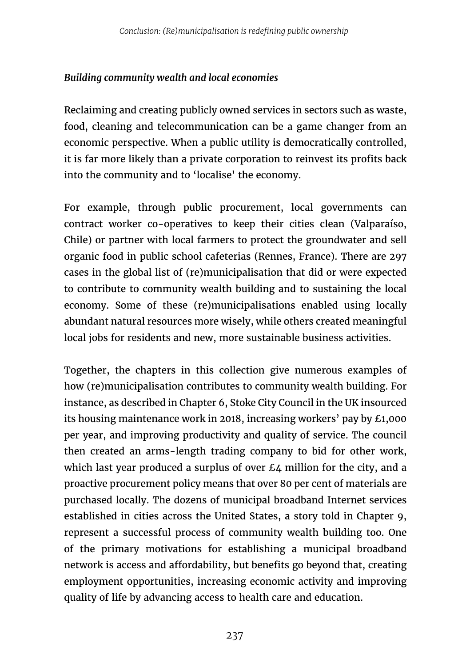#### *Building community wealth and local economies*

Reclaiming and creating publicly owned services in sectors such as waste, food, cleaning and telecommunication can be a game changer from an economic perspective. When a public utility is democratically controlled, it is far more likely than a private corporation to reinvest its profits back into the community and to 'localise' the economy.

For example, through public procurement, local governments can contract worker co-operatives to keep their cities clean (Valparaíso, Chile) or partner with local farmers to protect the groundwater and sell organic food in public school cafeterias (Rennes, France). There are 297 cases in the global list of (re)municipalisation that did or were expected to contribute to community wealth building and to sustaining the local economy. Some of these (re)municipalisations enabled using locally abundant natural resources more wisely, while others created meaningful local jobs for residents and new, more sustainable business activities.

Together, the chapters in this collection give numerous examples of how (re)municipalisation contributes to community wealth building. For instance, as described in Chapter 6, Stoke City Council in the UK insourced its housing maintenance work in 2018, increasing workers' pay by £1,000 per year, and improving productivity and quality of service. The council then created an arms-length trading company to bid for other work, which last year produced a surplus of over  $E_4$  million for the city, and a proactive procurement policy means that over 80 per cent of materials are purchased locally. The dozens of municipal broadband Internet services established in cities across the United States, a story told in Chapter 9, represent a successful process of community wealth building too. One of the primary motivations for establishing a municipal broadband network is access and affordability, but benefits go beyond that, creating employment opportunities, increasing economic activity and improving quality of life by advancing access to health care and education.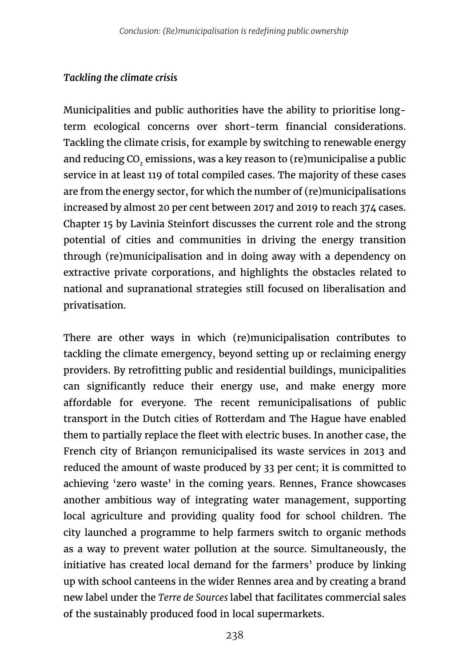## *Tackling the climate crisis*

Municipalities and public authorities have the ability to prioritise longterm ecological concerns over short-term financial considerations. Tackling the climate crisis, for example by switching to renewable energy and reducing CO<sub>2</sub> emissions, was a key reason to (re)municipalise a public service in at least 119 of total compiled cases. The majority of these cases are from the energy sector, for which the number of (re)municipalisations increased by almost 20 per cent between 2017 and 2019 to reach 374 cases. Chapter 15 by Lavinia Steinfort discusses the current role and the strong potential of cities and communities in driving the energy transition through (re)municipalisation and in doing away with a dependency on extractive private corporations, and highlights the obstacles related to national and supranational strategies still focused on liberalisation and privatisation.

There are other ways in which (re)municipalisation contributes to tackling the climate emergency, beyond setting up or reclaiming energy providers. By retrofitting public and residential buildings, municipalities can significantly reduce their energy use, and make energy more affordable for everyone. The recent remunicipalisations of public transport in the Dutch cities of Rotterdam and The Hague have enabled them to partially replace the fleet with electric buses. In another case, the French city of Briançon remunicipalised its waste services in 2013 and reduced the amount of waste produced by 33 per cent; it is committed to achieving 'zero waste' in the coming years. Rennes, France showcases another ambitious way of integrating water management, supporting local agriculture and providing quality food for school children. The city launched a programme to help farmers switch to organic methods as a way to prevent water pollution at the source. Simultaneously, the initiative has created local demand for the farmers' produce by linking up with school canteens in the wider Rennes area and by creating a brand new label under the *Terre de Sources* label that facilitates commercial sales of the sustainably produced food in local supermarkets.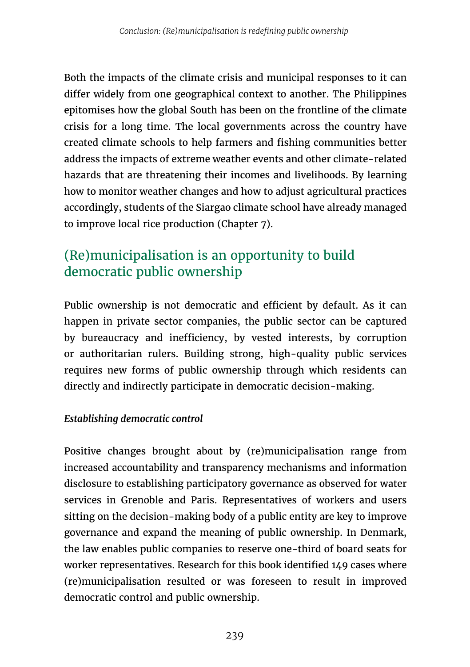Both the impacts of the climate crisis and municipal responses to it can differ widely from one geographical context to another. The Philippines epitomises how the global South has been on the frontline of the climate crisis for a long time. The local governments across the country have created climate schools to help farmers and fishing communities better address the impacts of extreme weather events and other climate-related hazards that are threatening their incomes and livelihoods. By learning how to monitor weather changes and how to adjust agricultural practices accordingly, students of the Siargao climate school have already managed to improve local rice production (Chapter 7).

# (Re)municipalisation is an opportunity to build democratic public ownership

Public ownership is not democratic and efficient by default. As it can happen in private sector companies, the public sector can be captured by bureaucracy and inefficiency, by vested interests, by corruption or authoritarian rulers. Building strong, high-quality public services requires new forms of public ownership through which residents can directly and indirectly participate in democratic decision-making.

## *Establishing democratic control*

Positive changes brought about by (re)municipalisation range from increased accountability and transparency mechanisms and information disclosure to establishing participatory governance as observed for water services in Grenoble and Paris. Representatives of workers and users sitting on the decision-making body of a public entity are key to improve governance and expand the meaning of public ownership. In Denmark, the law enables public companies to reserve one-third of board seats for worker representatives. Research for this book identified 149 cases where (re)municipalisation resulted or was foreseen to result in improved democratic control and public ownership.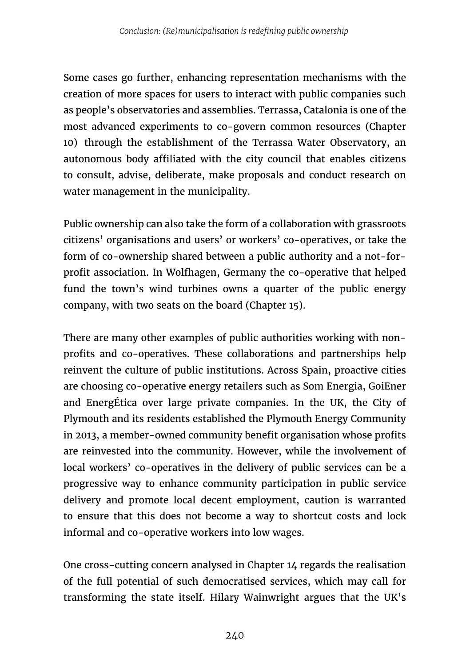Some cases go further, enhancing representation mechanisms with the creation of more spaces for users to interact with public companies such as people's observatories and assemblies. Terrassa, Catalonia is one of the most advanced experiments to co-govern common resources (Chapter 10) through the establishment of the Terrassa Water Observatory, an autonomous body affiliated with the city council that enables citizens to consult, advise, deliberate, make proposals and conduct research on water management in the municipality.

Public ownership can also take the form of a collaboration with grassroots citizens' organisations and users' or workers' co-operatives, or take the form of co-ownership shared between a public authority and a not-forprofit association. In Wolfhagen, Germany the co-operative that helped fund the town's wind turbines owns a quarter of the public energy company, with two seats on the board (Chapter 15).

There are many other examples of public authorities working with nonprofits and co-operatives. These collaborations and partnerships help reinvent the culture of public institutions. Across Spain, proactive cities are choosing co-operative energy retailers such as Som Energia, GoiEner and EnergÉtica over large private companies. In the UK, the City of Plymouth and its residents established the Plymouth Energy Community in 2013, a member-owned community benefit organisation whose profits are reinvested into the community. However, while the involvement of local workers' co-operatives in the delivery of public services can be a progressive way to enhance community participation in public service delivery and promote local decent employment, caution is warranted to ensure that this does not become a way to shortcut costs and lock informal and co-operative workers into low wages.

One cross-cutting concern analysed in Chapter 14 regards the realisation of the full potential of such democratised services, which may call for transforming the state itself. Hilary Wainwright argues that the UK's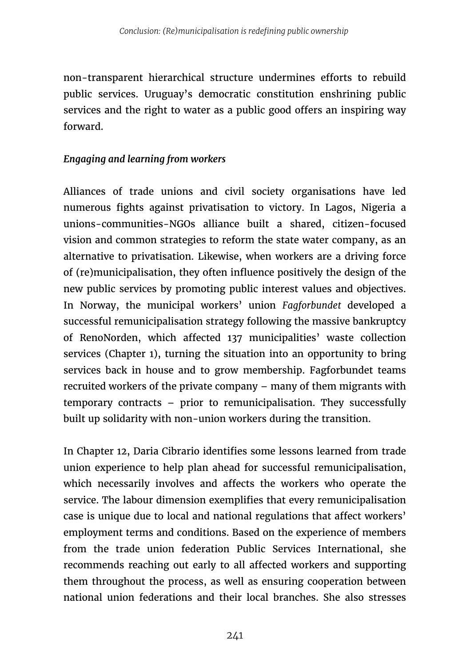non-transparent hierarchical structure undermines efforts to rebuild public services. Uruguay's democratic constitution enshrining public services and the right to water as a public good offers an inspiring way forward.

#### *Engaging and learning from workers*

Alliances of trade unions and civil society organisations have led numerous fights against privatisation to victory. In Lagos, Nigeria a unions-communities-NGOs alliance built a shared, citizen-focused vision and common strategies to reform the state water company, as an alternative to privatisation. Likewise, when workers are a driving force of (re)municipalisation, they often influence positively the design of the new public services by promoting public interest values and objectives. In Norway, the municipal workers' union *Fagforbundet* developed a successful remunicipalisation strategy following the massive bankruptcy of RenoNorden, which affected 137 municipalities' waste collection services (Chapter 1), turning the situation into an opportunity to bring services back in house and to grow membership. Fagforbundet teams recruited workers of the private company – many of them migrants with temporary contracts – prior to remunicipalisation. They successfully built up solidarity with non-union workers during the transition.

In Chapter 12, Daria Cibrario identifies some lessons learned from trade union experience to help plan ahead for successful remunicipalisation, which necessarily involves and affects the workers who operate the service. The labour dimension exemplifies that every remunicipalisation case is unique due to local and national regulations that affect workers' employment terms and conditions. Based on the experience of members from the trade union federation Public Services International, she recommends reaching out early to all affected workers and supporting them throughout the process, as well as ensuring cooperation between national union federations and their local branches. She also stresses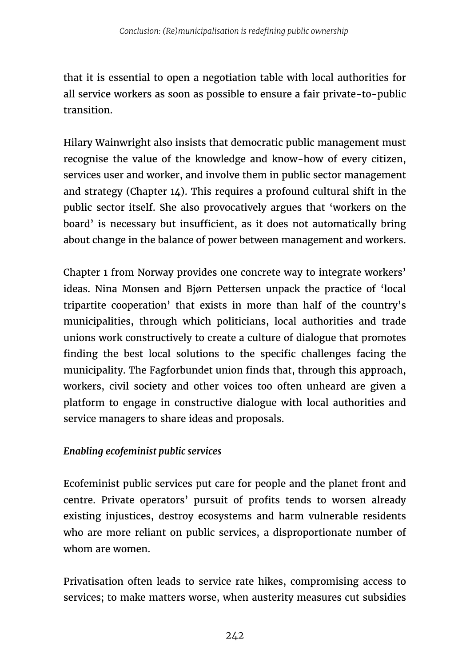that it is essential to open a negotiation table with local authorities for all service workers as soon as possible to ensure a fair private-to-public transition.

Hilary Wainwright also insists that democratic public management must recognise the value of the knowledge and know-how of every citizen, services user and worker, and involve them in public sector management and strategy (Chapter  $14$ ). This requires a profound cultural shift in the public sector itself. She also provocatively argues that 'workers on the board' is necessary but insufficient, as it does not automatically bring about change in the balance of power between management and workers.

Chapter 1 from Norway provides one concrete way to integrate workers' ideas. Nina Monsen and Bjørn Pettersen unpack the practice of 'local tripartite cooperation' that exists in more than half of the country's municipalities, through which politicians, local authorities and trade unions work constructively to create a culture of dialogue that promotes finding the best local solutions to the specific challenges facing the municipality. The Fagforbundet union finds that, through this approach, workers, civil society and other voices too often unheard are given a platform to engage in constructive dialogue with local authorities and service managers to share ideas and proposals.

## *Enabling ecofeminist public services*

Ecofeminist public services put care for people and the planet front and centre. Private operators' pursuit of profits tends to worsen already existing injustices, destroy ecosystems and harm vulnerable residents who are more reliant on public services, a disproportionate number of whom are women.

Privatisation often leads to service rate hikes, compromising access to services; to make matters worse, when austerity measures cut subsidies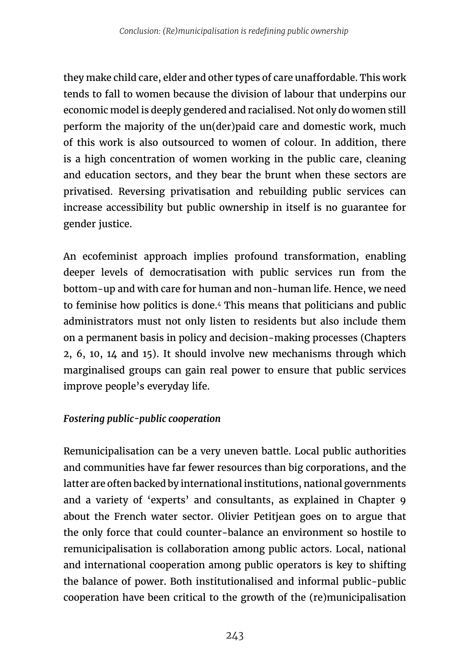they make child care, elder and other types of care unaffordable. This work tends to fall to women because the division of labour that underpins our economic model is deeply gendered and racialised. Not only do women still perform the majority of the un(der)paid care and domestic work, much of this work is also outsourced to women of colour. In addition, there is a high concentration of women working in the public care, cleaning and education sectors, and they bear the brunt when these sectors are privatised. Reversing privatisation and rebuilding public services can increase accessibility but public ownership in itself is no guarantee for gender justice.

An ecofeminist approach implies profound transformation, enabling deeper levels of democratisation with public services run from the bottom-up and with care for human and non-human life. Hence, we need to feminise how politics is done.4 This means that politicians and public administrators must not only listen to residents but also include them on a permanent basis in policy and decision-making processes (Chapters 2, 6, 10, 14 and 15). It should involve new mechanisms through which marginalised groups can gain real power to ensure that public services improve people's everyday life.

## *Fostering public-public cooperation*

Remunicipalisation can be a very uneven battle. Local public authorities and communities have far fewer resources than big corporations, and the latter are often backed by international institutions, national governments and a variety of 'experts' and consultants, as explained in Chapter 9 about the French water sector. Olivier Petitjean goes on to argue that the only force that could counter-balance an environment so hostile to remunicipalisation is collaboration among public actors. Local, national and international cooperation among public operators is key to shifting the balance of power. Both institutionalised and informal public-public cooperation have been critical to the growth of the (re)municipalisation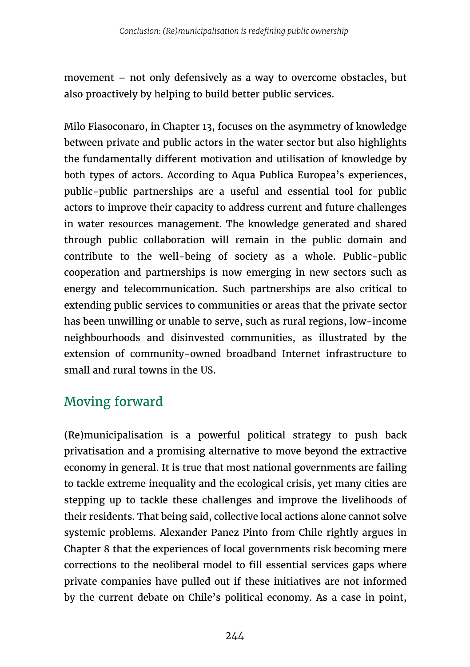movement – not only defensively as a way to overcome obstacles, but also proactively by helping to build better public services.

Milo Fiasoconaro, in Chapter 13, focuses on the asymmetry of knowledge between private and public actors in the water sector but also highlights the fundamentally different motivation and utilisation of knowledge by both types of actors. According to Aqua Publica Europea's experiences, public-public partnerships are a useful and essential tool for public actors to improve their capacity to address current and future challenges in water resources management. The knowledge generated and shared through public collaboration will remain in the public domain and contribute to the well-being of society as a whole. Public-public cooperation and partnerships is now emerging in new sectors such as energy and telecommunication. Such partnerships are also critical to extending public services to communities or areas that the private sector has been unwilling or unable to serve, such as rural regions, low-income neighbourhoods and disinvested communities, as illustrated by the extension of community-owned broadband Internet infrastructure to small and rural towns in the US.

# Moving forward

(Re)municipalisation is a powerful political strategy to push back privatisation and a promising alternative to move beyond the extractive economy in general. It is true that most national governments are failing to tackle extreme inequality and the ecological crisis, yet many cities are stepping up to tackle these challenges and improve the livelihoods of their residents. That being said, collective local actions alone cannot solve systemic problems. Alexander Panez Pinto from Chile rightly argues in Chapter 8 that the experiences of local governments risk becoming mere corrections to the neoliberal model to fill essential services gaps where private companies have pulled out if these initiatives are not informed by the current debate on Chile's political economy. As a case in point,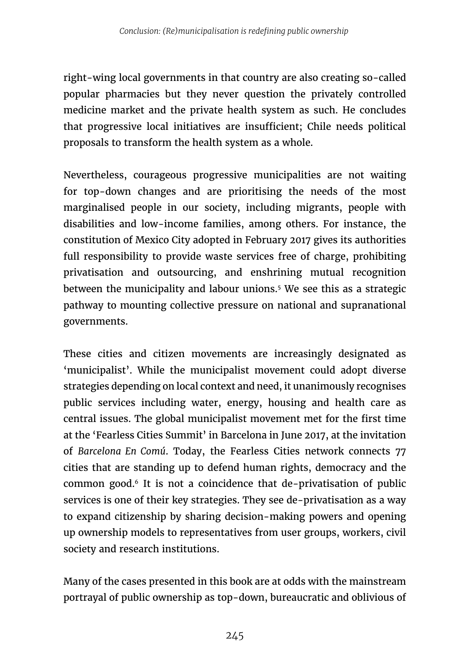right-wing local governments in that country are also creating so-called popular pharmacies but they never question the privately controlled medicine market and the private health system as such. He concludes that progressive local initiatives are insufficient; Chile needs political proposals to transform the health system as a whole.

Nevertheless, courageous progressive municipalities are not waiting for top-down changes and are prioritising the needs of the most marginalised people in our society, including migrants, people with disabilities and low-income families, among others. For instance, the constitution of Mexico City adopted in February 2017 gives its authorities full responsibility to provide waste services free of charge, prohibiting privatisation and outsourcing, and enshrining mutual recognition between the municipality and labour unions.<sup>5</sup> We see this as a strategic pathway to mounting collective pressure on national and supranational governments.

These cities and citizen movements are increasingly designated as 'municipalist'. While the municipalist movement could adopt diverse strategies depending on local context and need, it unanimously recognises public services including water, energy, housing and health care as central issues. The global municipalist movement met for the first time at the 'Fearless Cities Summit' in Barcelona in June 2017, at the invitation of *Barcelona En Comú*. Today, the Fearless Cities network connects 77 cities that are standing up to defend human rights, democracy and the common good.6 It is not a coincidence that de-privatisation of public services is one of their key strategies. They see de-privatisation as a way to expand citizenship by sharing decision-making powers and opening up ownership models to representatives from user groups, workers, civil society and research institutions.

Many of the cases presented in this book are at odds with the mainstream portrayal of public ownership as top-down, bureaucratic and oblivious of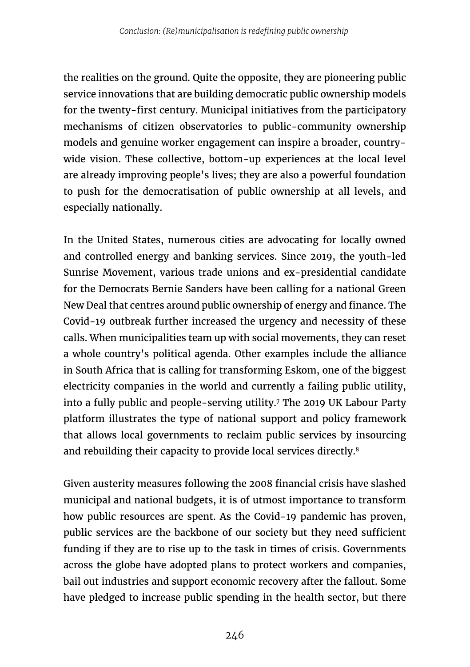the realities on the ground. Quite the opposite, they are pioneering public service innovations that are building democratic public ownership models for the twenty-first century. Municipal initiatives from the participatory mechanisms of citizen observatories to public-community ownership models and genuine worker engagement can inspire a broader, countrywide vision. These collective, bottom-up experiences at the local level are already improving people's lives; they are also a powerful foundation to push for the democratisation of public ownership at all levels, and especially nationally.

In the United States, numerous cities are advocating for locally owned and controlled energy and banking services. Since 2019, the youth-led Sunrise Movement, various trade unions and ex-presidential candidate for the Democrats Bernie Sanders have been calling for a national Green New Deal that centres around public ownership of energy and finance. The Covid-19 outbreak further increased the urgency and necessity of these calls. When municipalities team up with social movements, they can reset a whole country's political agenda. Other examples include the alliance in South Africa that is calling for transforming Eskom, one of the biggest electricity companies in the world and currently a failing public utility, into a fully public and people-serving utility.7 The 2019 UK Labour Party platform illustrates the type of national support and policy framework that allows local governments to reclaim public services by insourcing and rebuilding their capacity to provide local services directly.<sup>8</sup>

Given austerity measures following the 2008 financial crisis have slashed municipal and national budgets, it is of utmost importance to transform how public resources are spent. As the Covid-19 pandemic has proven, public services are the backbone of our society but they need sufficient funding if they are to rise up to the task in times of crisis. Governments across the globe have adopted plans to protect workers and companies, bail out industries and support economic recovery after the fallout. Some have pledged to increase public spending in the health sector, but there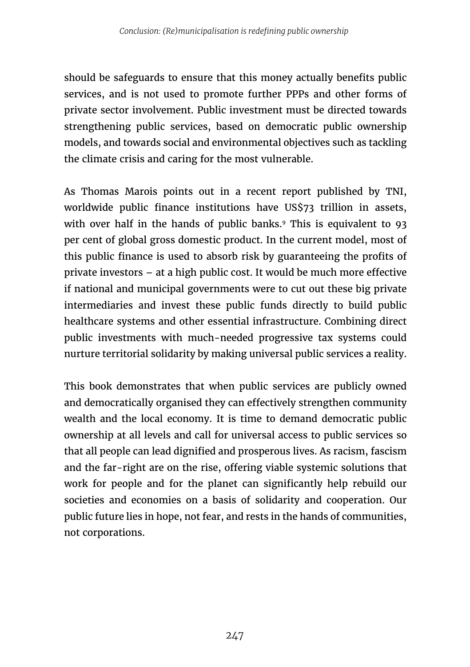should be safeguards to ensure that this money actually benefits public services, and is not used to promote further PPPs and other forms of private sector involvement. Public investment must be directed towards strengthening public services, based on democratic public ownership models, and towards social and environmental objectives such as tackling the climate crisis and caring for the most vulnerable.

As Thomas Marois points out in a recent report published by TNI, worldwide public finance institutions have US\$73 trillion in assets, with over half in the hands of public banks.<sup>9</sup> This is equivalent to 93 per cent of global gross domestic product. In the current model, most of this public finance is used to absorb risk by guaranteeing the profits of private investors – at a high public cost. It would be much more effective if national and municipal governments were to cut out these big private intermediaries and invest these public funds directly to build public healthcare systems and other essential infrastructure. Combining direct public investments with much-needed progressive tax systems could nurture territorial solidarity by making universal public services a reality.

This book demonstrates that when public services are publicly owned and democratically organised they can effectively strengthen community wealth and the local economy. It is time to demand democratic public ownership at all levels and call for universal access to public services so that all people can lead dignified and prosperous lives. As racism, fascism and the far-right are on the rise, offering viable systemic solutions that work for people and for the planet can significantly help rebuild our societies and economies on a basis of solidarity and cooperation. Our public future lies in hope, not fear, and rests in the hands of communities, not corporations.